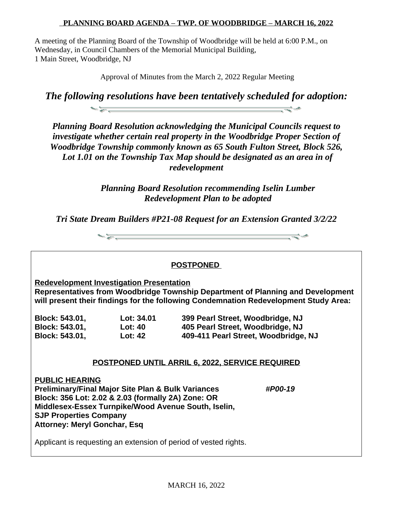## **PLANNING BOARD AGENDA – TWP. OF WOODBRIDGE – MARCH 16, 2022**

A meeting of the Planning Board of the Township of Woodbridge will be held at 6:00 P.M., on Wednesday, in Council Chambers of the Memorial Municipal Building, 1 Main Street, Woodbridge, NJ

Approval of Minutes from the March 2, 2022 Regular Meeting

*The following resolutions have been tentatively scheduled for adoption:*  $-2$ 

*Planning Board Resolution acknowledging the Municipal Councils request to investigate whether certain real property in the Woodbridge Proper Section of Woodbridge Township commonly known as 65 South Fulton Street, Block 526, Lot 1.01 on the Township Tax Map should be designated as an area in of redevelopment*

> *Planning Board Resolution recommending Iselin Lumber Redevelopment Plan to be adopted*

*Tri State Dream Builders #P21-08 Request for an Extension Granted 3/2/22*

 $\begin{picture}(100,100)(-0.000,0.000)(-0.000,0.000)(-0.000,0.000)(-0.000,0.000)(-0.000,0.000)(-0.000,0.000)(-0.000,0.000)(-0.000,0.000)(-0.000,0.000)(-0.000,0.000)(-0.000,0.000)(-0.000,0.000)(-0.000,0.000)(-0.000,0.000)(-0.000,0.000)(-0.000,0.000$ 

## **POSTPONED Redevelopment Investigation Presentation Representatives from Woodbridge Township Department of Planning and Development will present their findings for the following Condemnation Redevelopment Study Area: Block: 543.01, Lot: 34.01 399 Pearl Street, Woodbridge, NJ Block: 543.01, Lot: 40 405 Pearl Street, Woodbridge, NJ Block: 543.01, Lot: 42 409-411 Pearl Street, Woodbridge, NJ POSTPONED UNTIL ARRIL 6, 2022, SERVICE REQUIRED PUBLIC HEARING Preliminary/Final Major Site Plan & Bulk Variances** *#P00-19* **Block: 356 Lot: 2.02 & 2.03 (formally 2A) Zone: OR Middlesex-Essex Turnpike/Wood Avenue South, Iselin, SJP Properties Company Attorney: Meryl Gonchar, Esq** Applicant is requesting an extension of period of vested rights.